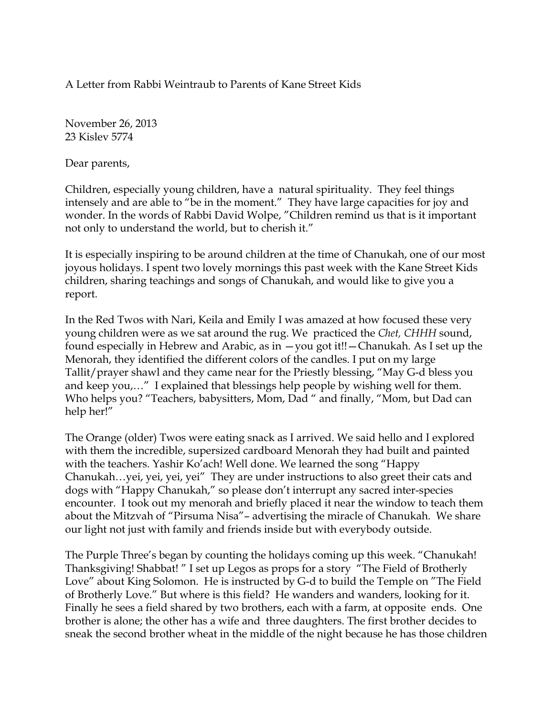A Letter from Rabbi Weintraub to Parents of Kane Street Kids

November 26, 2013 23 Kislev 5774

Dear parents,

Children, especially young children, have a natural spirituality. They feel things intensely and are able to "be in the moment." They have large capacities for joy and wonder. In the words of Rabbi David Wolpe, "Children remind us that is it important not only to understand the world, but to cherish it."

It is especially inspiring to be around children at the time of Chanukah, one of our most joyous holidays. I spent two lovely mornings this past week with the Kane Street Kids children, sharing teachings and songs of Chanukah, and would like to give you a report.

In the Red Twos with Nari, Keila and Emily I was amazed at how focused these very young children were as we sat around the rug. We practiced the *Chet, CHHH* sound, found especially in Hebrew and Arabic, as in —you got it!!—Chanukah. As I set up the Menorah, they identified the different colors of the candles. I put on my large Tallit/prayer shawl and they came near for the Priestly blessing, "May G-d bless you and keep you,…" I explained that blessings help people by wishing well for them. Who helps you? "Teachers, babysitters, Mom, Dad " and finally, "Mom, but Dad can help her!"

The Orange (older) Twos were eating snack as I arrived. We said hello and I explored with them the incredible, supersized cardboard Menorah they had built and painted with the teachers. Yashir Ko'ach! Well done. We learned the song "Happy Chanukah…yei, yei, yei, yei" They are under instructions to also greet their cats and dogs with "Happy Chanukah," so please don't interrupt any sacred inter-species encounter. I took out my menorah and briefly placed it near the window to teach them about the Mitzvah of "Pirsuma Nisa"– advertising the miracle of Chanukah. We share our light not just with family and friends inside but with everybody outside.

The Purple Three's began by counting the holidays coming up this week. "Chanukah! Thanksgiving! Shabbat! " I set up Legos as props for a story "The Field of Brotherly Love" about King Solomon. He is instructed by G-d to build the Temple on "The Field of Brotherly Love." But where is this field? He wanders and wanders, looking for it. Finally he sees a field shared by two brothers, each with a farm, at opposite ends. One brother is alone; the other has a wife and three daughters. The first brother decides to sneak the second brother wheat in the middle of the night because he has those children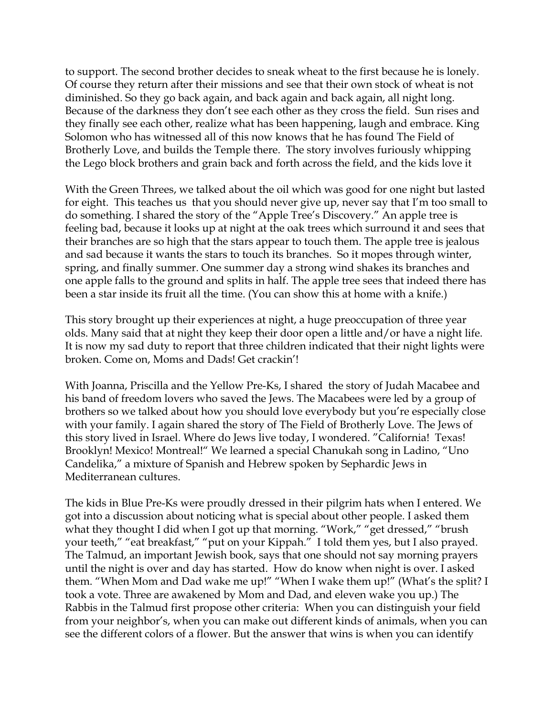to support. The second brother decides to sneak wheat to the first because he is lonely. Of course they return after their missions and see that their own stock of wheat is not diminished. So they go back again, and back again and back again, all night long. Because of the darkness they don't see each other as they cross the field. Sun rises and they finally see each other, realize what has been happening, laugh and embrace. King Solomon who has witnessed all of this now knows that he has found The Field of Brotherly Love, and builds the Temple there. The story involves furiously whipping the Lego block brothers and grain back and forth across the field, and the kids love it

With the Green Threes, we talked about the oil which was good for one night but lasted for eight. This teaches us that you should never give up, never say that I'm too small to do something. I shared the story of the "Apple Tree's Discovery." An apple tree is feeling bad, because it looks up at night at the oak trees which surround it and sees that their branches are so high that the stars appear to touch them. The apple tree is jealous and sad because it wants the stars to touch its branches. So it mopes through winter, spring, and finally summer. One summer day a strong wind shakes its branches and one apple falls to the ground and splits in half. The apple tree sees that indeed there has been a star inside its fruit all the time. (You can show this at home with a knife.)

This story brought up their experiences at night, a huge preoccupation of three year olds. Many said that at night they keep their door open a little and/or have a night life. It is now my sad duty to report that three children indicated that their night lights were broken. Come on, Moms and Dads! Get crackin'!

With Joanna, Priscilla and the Yellow Pre-Ks, I shared the story of Judah Macabee and his band of freedom lovers who saved the Jews. The Macabees were led by a group of brothers so we talked about how you should love everybody but you're especially close with your family. I again shared the story of The Field of Brotherly Love. The Jews of this story lived in Israel. Where do Jews live today, I wondered. "California! Texas! Brooklyn! Mexico! Montreal!" We learned a special Chanukah song in Ladino, "Uno Candelika," a mixture of Spanish and Hebrew spoken by Sephardic Jews in Mediterranean cultures.

The kids in Blue Pre-Ks were proudly dressed in their pilgrim hats when I entered. We got into a discussion about noticing what is special about other people. I asked them what they thought I did when I got up that morning. "Work," "get dressed," "brush your teeth," "eat breakfast," "put on your Kippah." I told them yes, but I also prayed. The Talmud, an important Jewish book, says that one should not say morning prayers until the night is over and day has started. How do know when night is over. I asked them. "When Mom and Dad wake me up!" "When I wake them up!" (What's the split? I took a vote. Three are awakened by Mom and Dad, and eleven wake you up.) The Rabbis in the Talmud first propose other criteria: When you can distinguish your field from your neighbor's, when you can make out different kinds of animals, when you can see the different colors of a flower. But the answer that wins is when you can identify